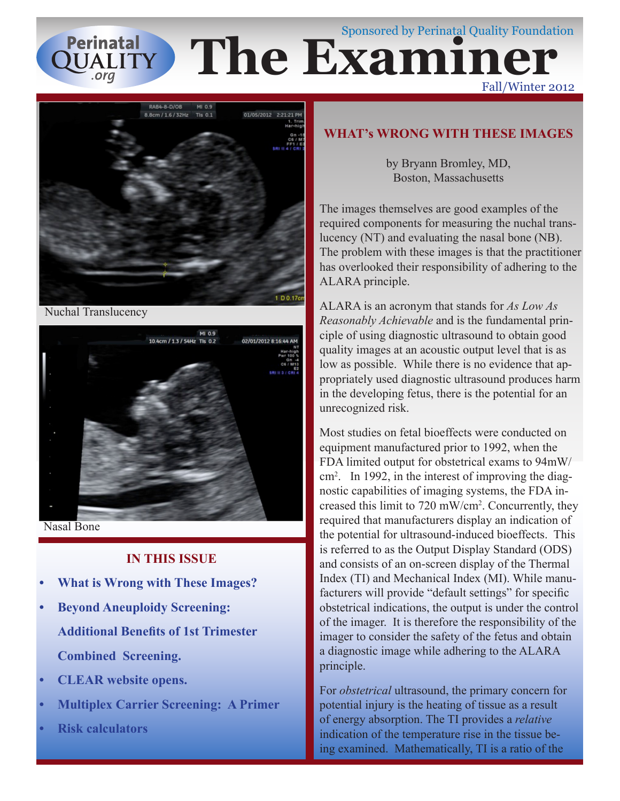### Sponsored by Perinatal Quality Foundation **Perinatal The Examiner OUALITY** Fall/Winter 2012



Nuchal Translucency



Nasal Bone

### **IN THIS ISSUE**

- **What is Wrong with These Images?**
- **Beyond Aneuploidy Screening: Additional Benefits of 1st Trimester Combined Screening.**
- **CLEAR website opens.**
- **• Multiplex Carrier Screening: A Primer**
- **Risk calculators**

### **WHAT's WRONG WITH THESE IMAGES**

by Bryann Bromley, MD, Boston, Massachusetts

The images themselves are good examples of the required components for measuring the nuchal translucency (NT) and evaluating the nasal bone (NB). The problem with these images is that the practitioner has overlooked their responsibility of adhering to the ALARA principle.

ALARA is an acronym that stands for *As Low As Reasonably Achievable* and is the fundamental principle of using diagnostic ultrasound to obtain good quality images at an acoustic output level that is as low as possible. While there is no evidence that appropriately used diagnostic ultrasound produces harm in the developing fetus, there is the potential for an unrecognized risk.

Most studies on fetal bioeffects were conducted on equipment manufactured prior to 1992, when the FDA limited output for obstetrical exams to 94mW/ cm2 . In 1992, in the interest of improving the diagnostic capabilities of imaging systems, the FDA increased this limit to 720 mW/cm2 . Concurrently, they required that manufacturers display an indication of the potential for ultrasound-induced bioeffects. This is referred to as the Output Display Standard (ODS) and consists of an on-screen display of the Thermal Index (TI) and Mechanical Index (MI). While manufacturers will provide "default settings" for specific obstetrical indications, the output is under the control of the imager. It is therefore the responsibility of the imager to consider the safety of the fetus and obtain a diagnostic image while adhering to the ALARA principle.

For *obstetrical* ultrasound, the primary concern for potential injury is the heating of tissue as a result of energy absorption. The TI provides a *relative* indication of the temperature rise in the tissue being examined. Mathematically, TI is a ratio of the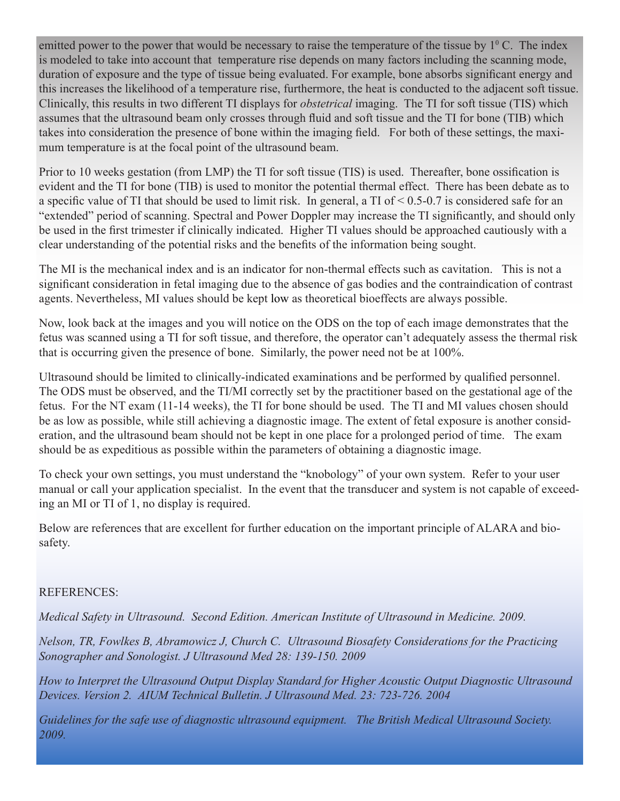emitted power to the power that would be necessary to raise the temperature of the tissue by  $1^{\circ}$  C. The index is modeled to take into account that temperature rise depends on many factors including the scanning mode, duration of exposure and the type of tissue being evaluated. For example, bone absorbs significant energy and this increases the likelihood of a temperature rise, furthermore, the heat is conducted to the adjacent soft tissue. Clinically, this results in two different TI displays for *obstetrical* imaging. The TI for soft tissue (TIS) which assumes that the ultrasound beam only crosses through fluid and soft tissue and the TI for bone (TIB) which takes into consideration the presence of bone within the imaging field. For both of these settings, the maximum temperature is at the focal point of the ultrasound beam.

Prior to 10 weeks gestation (from LMP) the TI for soft tissue (TIS) is used. Thereafter, bone ossification is evident and the TI for bone (TIB) is used to monitor the potential thermal effect. There has been debate as to a specific value of TI that should be used to limit risk. In general, a TI of  $\leq 0.5$ -0.7 is considered safe for an "extended" period of scanning. Spectral and Power Doppler may increase the TI significantly, and should only be used in the first trimester if clinically indicated. Higher TI values should be approached cautiously with a clear understanding of the potential risks and the benefits of the information being sought.

The MI is the mechanical index and is an indicator for non-thermal effects such as cavitation. This is not a significant consideration in fetal imaging due to the absence of gas bodies and the contraindication of contrast agents. Nevertheless, MI values should be kept low as theoretical bioeffects are always possible.

Now, look back at the images and you will notice on the ODS on the top of each image demonstrates that the fetus was scanned using a TI for soft tissue, and therefore, the operator can't adequately assess the thermal risk that is occurring given the presence of bone. Similarly, the power need not be at 100%.

Ultrasound should be limited to clinically-indicated examinations and be performed by qualified personnel. The ODS must be observed, and the TI/MI correctly set by the practitioner based on the gestational age of the fetus. For the NT exam (11-14 weeks), the TI for bone should be used. The TI and MI values chosen should be as low as possible, while still achieving a diagnostic image. The extent of fetal exposure is another consideration, and the ultrasound beam should not be kept in one place for a prolonged period of time. The exam should be as expeditious as possible within the parameters of obtaining a diagnostic image.

To check your own settings, you must understand the "knobology" of your own system. Refer to your user manual or call your application specialist. In the event that the transducer and system is not capable of exceeding an MI or TI of 1, no display is required.

Below are references that are excellent for further education on the important principle of ALARA and biosafety.

### REFERENCES:

*Medical Safety in Ultrasound. Second Edition. American Institute of Ultrasound in Medicine. 2009.* 

*Nelson, TR, Fowlkes B, Abramowicz J, Church C. Ultrasound Biosafety Considerations for the Practicing Sonographer and Sonologist. J Ultrasound Med 28: 139-150. 2009*

*How to Interpret the Ultrasound Output Display Standard for Higher Acoustic Output Diagnostic Ultrasound Devices. Version 2. AIUM Technical Bulletin. J Ultrasound Med. 23: 723-726. 2004*

*Guidelines for the safe use of diagnostic ultrasound equipment. The British Medical Ultrasound Society. 2009.*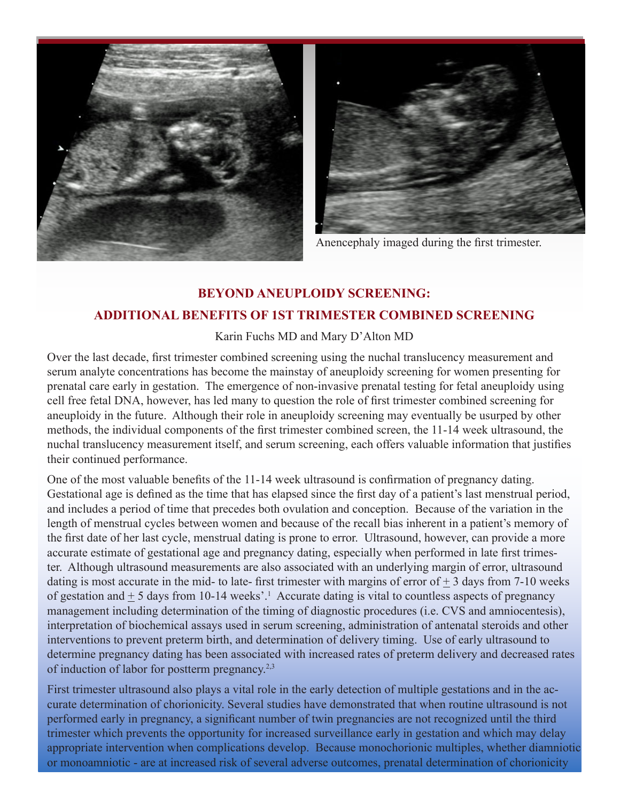



Anencephaly imaged during the first trimester.

# **BEYOND ANEUPLOIDY SCREENING: ADDITIONAL BENEFITS OF 1ST TRIMESTER COMBINED SCREENING**

### Karin Fuchs MD and Mary D'Alton MD

Over the last decade, first trimester combined screening using the nuchal translucency measurement and serum analyte concentrations has become the mainstay of aneuploidy screening for women presenting for prenatal care early in gestation. The emergence of non-invasive prenatal testing for fetal aneuploidy using cell free fetal DNA, however, has led many to question the role of first trimester combined screening for aneuploidy in the future. Although their role in aneuploidy screening may eventually be usurped by other methods, the individual components of the first trimester combined screen, the 11-14 week ultrasound, the nuchal translucency measurement itself, and serum screening, each offers valuable information that justifies their continued performance.

One of the most valuable benefits of the 11-14 week ultrasound is confirmation of pregnancy dating. Gestational age is defined as the time that has elapsed since the first day of a patient's last menstrual period, and includes a period of time that precedes both ovulation and conception. Because of the variation in the length of menstrual cycles between women and because of the recall bias inherent in a patient's memory of the first date of her last cycle, menstrual dating is prone to error. Ultrasound, however, can provide a more accurate estimate of gestational age and pregnancy dating, especially when performed in late first trimester. Although ultrasound measurements are also associated with an underlying margin of error, ultrasound dating is most accurate in the mid- to late- first trimester with margins of error of  $+3$  days from 7-10 weeks of gestation and  $\pm$  5 days from 10-14 weeks'.<sup>1</sup> Accurate dating is vital to countless aspects of pregnancy management including determination of the timing of diagnostic procedures (i.e. CVS and amniocentesis), interpretation of biochemical assays used in serum screening, administration of antenatal steroids and other interventions to prevent preterm birth, and determination of delivery timing. Use of early ultrasound to determine pregnancy dating has been associated with increased rates of preterm delivery and decreased rates of induction of labor for postterm pregnancy.2,3

First trimester ultrasound also plays a vital role in the early detection of multiple gestations and in the accurate determination of chorionicity. Several studies have demonstrated that when routine ultrasound is not performed early in pregnancy, a significant number of twin pregnancies are not recognized until the third trimester which prevents the opportunity for increased surveillance early in gestation and which may delay appropriate intervention when complications develop. Because monochorionic multiples, whether diamniotic or monoamniotic - are at increased risk of several adverse outcomes, prenatal determination of chorionicity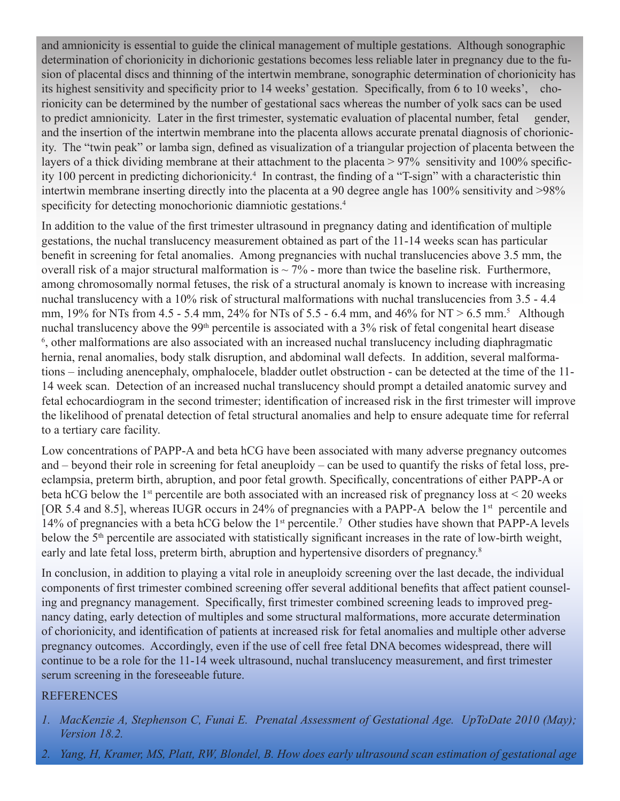and amnionicity is essential to guide the clinical management of multiple gestations. Although sonographic determination of chorionicity in dichorionic gestations becomes less reliable later in pregnancy due to the fusion of placental discs and thinning of the intertwin membrane, sonographic determination of chorionicity has its highest sensitivity and specificity prior to 14 weeks' gestation. Specifically, from 6 to 10 weeks', chorionicity can be determined by the number of gestational sacs whereas the number of yolk sacs can be used to predict amnionicity. Later in the first trimester, systematic evaluation of placental number, fetal gender, and the insertion of the intertwin membrane into the placenta allows accurate prenatal diagnosis of chorionicity. The "twin peak" or lamba sign, defined as visualization of a triangular projection of placenta between the layers of a thick dividing membrane at their attachment to the placenta > 97% sensitivity and 100% specificity 100 percent in predicting dichorionicity.<sup>4</sup> In contrast, the finding of a "T-sign" with a characteristic thin intertwin membrane inserting directly into the placenta at a 90 degree angle has 100% sensitivity and >98% specificity for detecting monochorionic diamniotic gestations.<sup>4</sup>

In addition to the value of the first trimester ultrasound in pregnancy dating and identification of multiple gestations, the nuchal translucency measurement obtained as part of the 11-14 weeks scan has particular benefit in screening for fetal anomalies. Among pregnancies with nuchal translucencies above 3.5 mm, the overall risk of a major structural malformation is  $\sim$  7% - more than twice the baseline risk. Furthermore, among chromosomally normal fetuses, the risk of a structural anomaly is known to increase with increasing nuchal translucency with a 10% risk of structural malformations with nuchal translucencies from 3.5 - 4.4 mm,  $19\%$  for NTs from 4.5 - 5.4 mm,  $24\%$  for NTs of 5.5 - 6.4 mm, and  $46\%$  for NT > 6.5 mm.<sup>5</sup> Although nuchal translucency above the 99th percentile is associated with a 3% risk of fetal congenital heart disease <sup>6</sup>, other malformations are also associated with an increased nuchal translucency including diaphragmatic hernia, renal anomalies, body stalk disruption, and abdominal wall defects. In addition, several malformations – including anencephaly, omphalocele, bladder outlet obstruction - can be detected at the time of the 11- 14 week scan. Detection of an increased nuchal translucency should prompt a detailed anatomic survey and fetal echocardiogram in the second trimester; identification of increased risk in the first trimester will improve the likelihood of prenatal detection of fetal structural anomalies and help to ensure adequate time for referral to a tertiary care facility.

Low concentrations of PAPP-A and beta hCG have been associated with many adverse pregnancy outcomes and – beyond their role in screening for fetal aneuploidy – can be used to quantify the risks of fetal loss, preeclampsia, preterm birth, abruption, and poor fetal growth. Specifically, concentrations of either PAPP-A or beta hCG below the 1<sup>st</sup> percentile are both associated with an increased risk of pregnancy loss at  $\leq$  20 weeks [OR 5.4 and 8.5], whereas IUGR occurs in 24% of pregnancies with a PAPP-A below the 1<sup>st</sup> percentile and 14% of pregnancies with a beta hCG below the 1<sup>st</sup> percentile.<sup>7</sup> Other studies have shown that PAPP-A levels below the 5<sup>th</sup> percentile are associated with statistically significant increases in the rate of low-birth weight, early and late fetal loss, preterm birth, abruption and hypertensive disorders of pregnancy.<sup>8</sup>

In conclusion, in addition to playing a vital role in aneuploidy screening over the last decade, the individual components of first trimester combined screening offer several additional benefits that affect patient counseling and pregnancy management. Specifically, first trimester combined screening leads to improved pregnancy dating, early detection of multiples and some structural malformations, more accurate determination of chorionicity, and identification of patients at increased risk for fetal anomalies and multiple other adverse pregnancy outcomes. Accordingly, even if the use of cell free fetal DNA becomes widespread, there will continue to be a role for the 11-14 week ultrasound, nuchal translucency measurement, and first trimester serum screening in the foreseeable future.

### **REFERENCES**

- *1. MacKenzie A, Stephenson C, Funai E. Prenatal Assessment of Gestational Age. UpToDate 2010 (May); Version 18.2.*
- *2. Yang, H, Kramer, MS, Platt, RW, Blondel, B. How does early ultrasound scan estimation of gestational age*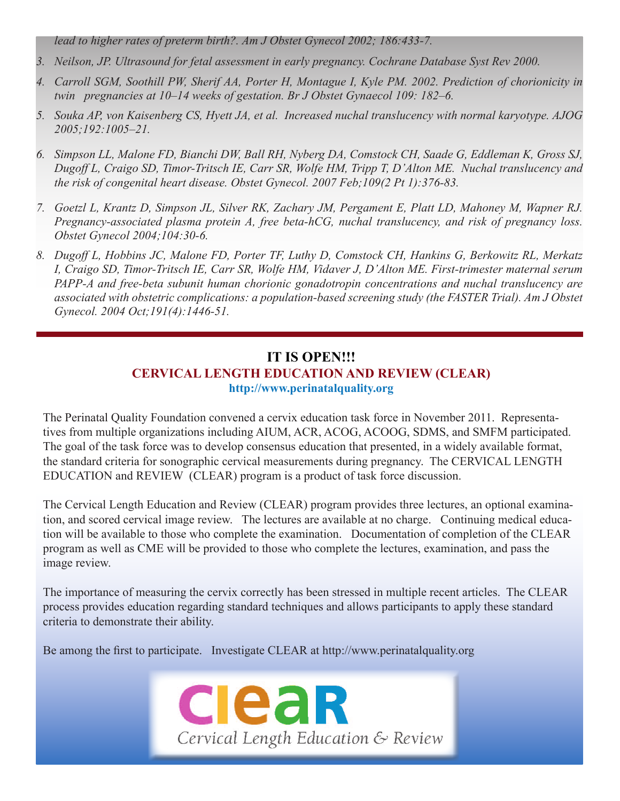*lead to higher rates of preterm birth?. Am J Obstet Gynecol 2002; 186:433-7.*

- *3. Neilson, JP. Ultrasound for fetal assessment in early pregnancy. Cochrane Database Syst Rev 2000.*
- *4. Carroll SGM, Soothill PW, Sherif AA, Porter H, Montague I, Kyle PM. 2002. Prediction of chorionicity in twin pregnancies at 10–14 weeks of gestation. Br J Obstet Gynaecol 109: 182–6.*
- *5. Souka AP, von Kaisenberg CS, Hyett JA, et al. Increased nuchal translucency with normal karyotype. AJOG 2005;192:1005–21.*
- *6. Simpson LL, Malone FD, Bianchi DW, Ball RH, Nyberg DA, Comstock CH, Saade G, Eddleman K, Gross SJ, Dugoff L, Craigo SD, Timor-Tritsch IE, Carr SR, Wolfe HM, Tripp T, D'Alton ME. Nuchal translucency and the risk of congenital heart disease. Obstet Gynecol. 2007 Feb;109(2 Pt 1):376-83.*
- *7. Goetzl L, Krantz D, Simpson JL, Silver RK, Zachary JM, Pergament E, Platt LD, Mahoney M, Wapner RJ. Pregnancy-associated plasma protein A, free beta-hCG, nuchal translucency, and risk of pregnancy loss. Obstet Gynecol 2004;104:30-6.*
- *8. Dugoff L, Hobbins JC, Malone FD, Porter TF, Luthy D, Comstock CH, Hankins G, Berkowitz RL, Merkatz I, Craigo SD, Timor-Tritsch IE, Carr SR, Wolfe HM, Vidaver J, D'Alton ME. First-trimester maternal serum PAPP-A and free-beta subunit human chorionic gonadotropin concentrations and nuchal translucency are associated with obstetric complications: a population-based screening study (the FASTER Trial). Am J Obstet Gynecol. 2004 Oct;191(4):1446-51.*

## **IT IS OPEN!!! CERVICAL LENGTH EDUCATION AND REVIEW (CLEAR) http://www.perinatalquality.org**

The Perinatal Quality Foundation convened a cervix education task force in November 2011. Representatives from multiple organizations including AIUM, ACR, ACOG, ACOOG, SDMS, and SMFM participated. The goal of the task force was to develop consensus education that presented, in a widely available format, the standard criteria for sonographic cervical measurements during pregnancy. The CERVICAL LENGTH EDUCATION and REVIEW (CLEAR) program is a product of task force discussion.

The Cervical Length Education and Review (CLEAR) program provides three lectures, an optional examination, and scored cervical image review. The lectures are available at no charge. Continuing medical education will be available to those who complete the examination. Documentation of completion of the CLEAR program as well as CME will be provided to those who complete the lectures, examination, and pass the image review.

The importance of measuring the cervix correctly has been stressed in multiple recent articles. The CLEAR process provides education regarding standard techniques and allows participants to apply these standard criteria to demonstrate their ability.

Be among the first to participate. Investigate CLEAR at http://www.perinatalquality.org

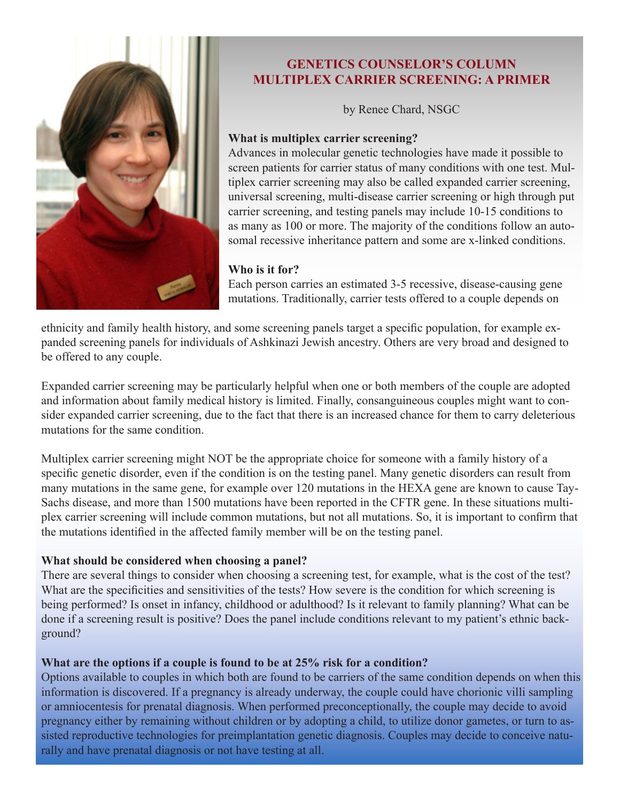

## **GENETICS COUNSELOR'S COLUMN MULTIPLEX CARRIER SCREENING: A PRIMER**

by Renee Chard, NSGC

#### **What is multiplex carrier screening?**

Advances in molecular genetic technologies have made it possible to screen patients for carrier status of many conditions with one test. Multiplex carrier screening may also be called expanded carrier screening, universal screening, multi-disease carrier screening or high through put carrier screening, and testing panels may include 10-15 conditions to as many as 100 or more. The majority of the conditions follow an autosomal recessive inheritance pattern and some are x-linked conditions.

#### **Who is it for?**

Each person carries an estimated 3-5 recessive, disease-causing gene mutations. Traditionally, carrier tests offered to a couple depends on

ethnicity and family health history, and some screening panels target a specific population, for example expanded screening panels for individuals of Ashkinazi Jewish ancestry. Others are very broad and designed to be offered to any couple.

Expanded carrier screening may be particularly helpful when one or both members of the couple are adopted and information about family medical history is limited. Finally, consanguineous couples might want to consider expanded carrier screening, due to the fact that there is an increased chance for them to carry deleterious mutations for the same condition.

Multiplex carrier screening might NOT be the appropriate choice for someone with a family history of a specific genetic disorder, even if the condition is on the testing panel. Many genetic disorders can result from many mutations in the same gene, for example over 120 mutations in the HEXA gene are known to cause Tay-Sachs disease, and more than 1500 mutations have been reported in the CFTR gene. In these situations multiplex carrier screening will include common mutations, but not all mutations. So, it is important to confirm that the mutations identified in the affected family member will be on the testing panel.

### **What should be considered when choosing a panel?**

There are several things to consider when choosing a screening test, for example, what is the cost of the test? What are the specificities and sensitivities of the tests? How severe is the condition for which screening is being performed? Is onset in infancy, childhood or adulthood? Is it relevant to family planning? What can be done if a screening result is positive? Does the panel include conditions relevant to my patient's ethnic background?

### **What are the options if a couple is found to be at 25% risk for a condition?**

Options available to couples in which both are found to be carriers of the same condition depends on when this information is discovered. If a pregnancy is already underway, the couple could have chorionic villi sampling or amniocentesis for prenatal diagnosis. When performed preconceptionally, the couple may decide to avoid pregnancy either by remaining without children or by adopting a child, to utilize donor gametes, or turn to assisted reproductive technologies for preimplantation genetic diagnosis. Couples may decide to conceive naturally and have prenatal diagnosis or not have testing at all.